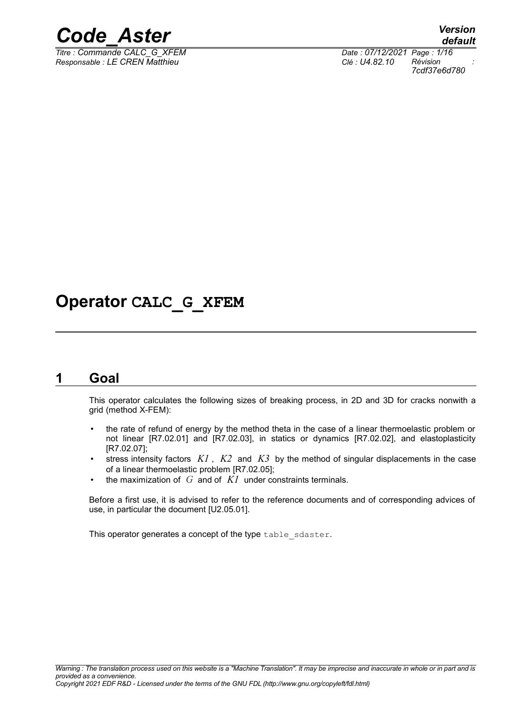

*Responsable : LE CREN Matthieu Clé : U4.82.10 Révision :*

*default Titre : Commande CALC\_G\_XFEM Date : 07/12/2021 Page : 1/16 7cdf37e6d780*

# **Operator CALC\_G\_XFEM**

## **1 Goal**

This operator calculates the following sizes of breaking process, in 2D and 3D for cracks nonwith a grid (method X-FEM):

- the rate of refund of energy by the method theta in the case of a linear thermoelastic problem or not linear [R7.02.01] and [R7.02.03], in statics or dynamics [R7.02.02], and elastoplasticity [R7.02.07];
- stress intensity factors *K1* , *K2* and *K3* by the method of singular displacements in the case of a linear thermoelastic problem [R7.02.05];
- the maximization of  $G$  and of  $KI$  under constraints terminals.

Before a first use, it is advised to refer to the reference documents and of corresponding advices of use, in particular the document [U2.05.01].

This operator generates a concept of the type table sdaster.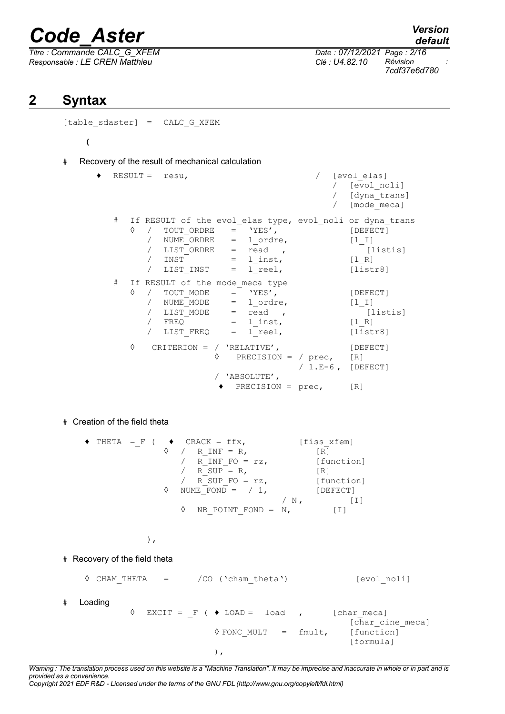*Titre : Commande CALC\_G\_XFEM Date : 07/12/2021 Page : 2/16 Responsable : LE CREN Matthieu Clé : U4.82.10 Révision :*

*default*

*7cdf37e6d780*

# **2 Syntax**

[table sdaster] = CALC G XFEM

**(**

# Recovery of the result of mechanical calculation

♦ RESULT = resu, / [evol\_elas] / [evol\_noli] / [dyna\_trans] / [mode\_meca] # If RESULT of the evol elas type, evol noli or dyna trans  $\Diamond$  / TOUT ORDRE = 'YES',  $\Box$  [DEFECT] /  $NUME\overline{ORDRE}$  = 1 ordre,  $[1\;I]$  $\overline{a}$  LIST ORDRE = read , [listis] / INST = 1\_inst, <br>/ LIST INST = 1 reel, [1\_R]<br>(list) / LIST INST =  $l_{\text{real}}$ , [listr8] # If RESULT of the mode\_meca type  $\Diamond$  / TOUT MODE = 'YES',  $[DEFECT]$ / NUME<sup> $MODE$ </sup> = lordre, [l\_I] / LIST\_MODE =  $\text{read }$ ,  $\begin{bmatrix} \text{listis} \end{bmatrix}$ <br>
/ FREO = 1 inst,  $\begin{bmatrix} 1 & R \end{bmatrix}$  $\begin{array}{rcl} \text{/} & & & \text{FREQ} \\ \text{/} & & & \text{LIST} & & \text{FREQ} \\ \text{/} & & & \text{LIST} & & \text{FREQ} \end{array} = \begin{array}{rcl} 1\_inst, \\ 1\_ree1, \end{array}$ / LIST FREQ =  $l$  reel,  $[i]$  [listr8] ◊ CRITERION = / 'RELATIVE', [DEFECT] ◊ PRECISION = / prec, [R] / 1.E-6 , [DEFECT] / 'ABSOLUTE', ♦ PRECISION = prec, [R]

# Creation of the field theta

| ٠ | THETA = $F$ ( |  |                   | $CRACK = ffx,$        |    | [fiss xfem] |
|---|---------------|--|-------------------|-----------------------|----|-------------|
|   |               |  |                   | $R$ INF = $R$ ,       |    | $\sqrt{R}$  |
|   |               |  |                   | R INF FO = $rz$ ,     |    | [function]  |
|   |               |  |                   | $R$ SUP = R,          |    | [R]         |
|   |               |  |                   | R SUP FO = $rz$ ,     |    | [function]  |
|   |               |  | $\langle \rangle$ | NUME FOND = $/ 1$ ,   |    | [DEFECT]    |
|   |               |  |                   |                       | N, |             |
|   |               |  |                   | NB POINT FOND = $N$ , |    | $+1+$       |

),

# Recovery of the field theta

 $\Diamond$  CHAM THETA = /CO ('cham theta') [evol noli] # Loading  $\Diamond$  EXCIT = F (  $\blacklozenge$  LOAD = load , [char meca] [char cine meca]  $\sqrt[6]{\text{FONC}}$  MULT = fmult, [function] [formula] ),

*Warning : The translation process used on this website is a "Machine Translation". It may be imprecise and inaccurate in whole or in part and is provided as a convenience.*

*Copyright 2021 EDF R&D - Licensed under the terms of the GNU FDL (http://www.gnu.org/copyleft/fdl.html)*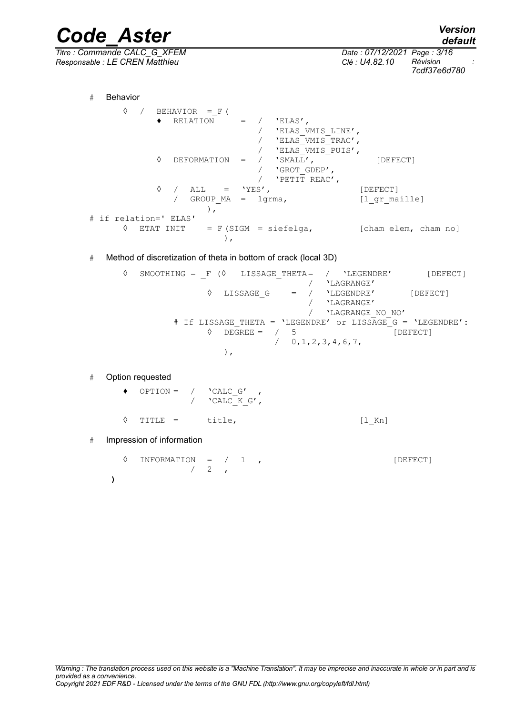*Code\_Aster Version default Titre : Commande CALC\_G\_XFEM Date : 07/12/2021 Page : 3/16 Responsable : LE CREN Matthieu Clé : U4.82.10 Révision : 7cdf37e6d780* # Behavior  $\Diamond$  / BEHAVIOR = F (  $\triangleleft$  RELATION = / 'ELAS', / 'ELAS\_VMIS\_LINE', / 'ELAS\_VMIS\_TRAC', / **'ELAS**\_VMIS\_PUIS',<br>/ **'**SMALL', ◊ DEFORMATION = / 'SMALL', [DEFECT] / 'GROT\_GDEP',  $/$  'PETIT\_REAC',<br>'YES',  $\Diamond$  / ALL = 'YES',  $[DEFECT]$ / GROUP MA = lgrma, [l gr\_maille] ), # if relation=' ELAS'  $\Diamond$  ETAT INIT = F (SIGM = siefelga, [cham elem, cham no] ), # Method of discretization of theta in bottom of crack (local 3D) ◊ SMOOTHING = \_F (◊ LISSAGE\_THETA= / 'LEGENDRE' [DEFECT] / **'**LAGRANGE'<br>/ 'LEGENDRE' ◊ LISSAGE\_G = / 'LEGENDRE' [DEFECT] / 'LAGRANGE' / 'LAGRANGE\_NO\_NO' # If LISSAGE THETA = 'LEGENDRE' or LISSAGE G = 'LEGENDRE':  $\sqrt{5}$  DEGREE = / 5 [DEFECT] / 0,1,2,3,4,6,7, ), # Option requested  $\rightarrow$  OPTION = / 'CALC G' /  $'$   $'$ CALC K G', ◊ TITLE = title, [l\_Kn] # Impression of information  $\Diamond$  INFORMATION =  $/$  1 ,  $/2$ **)**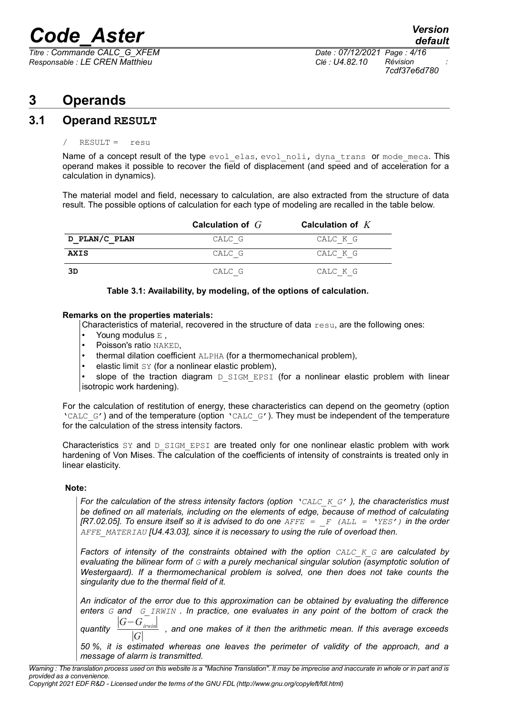*Titre : Commande CALC\_G\_XFEM Date : 07/12/2021 Page : 4/16 Responsable : LE CREN Matthieu Clé : U4.82.10 Révision :*

*7cdf37e6d780*

# **3 Operands**

### **3.1 Operand RESULT**

### RESULT = resu

Name of a concept result of the type evol elas, evol noli, dyna trans or mode meca. This operand makes it possible to recover the field of displacement (and speed and of acceleration for a calculation in dynamics).

The material model and field, necessary to calculation, are also extracted from the structure of data result. The possible options of calculation for each type of modeling are recalled in the table below.

|               | Calculation of $G$ | Calculation of $K$ |
|---------------|--------------------|--------------------|
| D PLAN/C PLAN | CALC G             | CALC K G           |
| AXIS          | CALC G             | CALC K G           |
| 3D            | CALC G             | CALC K G           |

### **Table 3.1: Availability, by modeling, of the options of calculation.**

#### **Remarks on the properties materials:**

Characteristics of material, recovered in the structure of data  $resu$ , are the following ones:

- Young modulus E,
- Poisson's ratio NAKED.
- thermal dilation coefficient ALPHA (for a thermomechanical problem),
- elastic limit SY (for a nonlinear elastic problem),

slope of the traction diagram D SIGM EPSI (for a nonlinear elastic problem with linear isotropic work hardening).

For the calculation of restitution of energy, these characteristics can depend on the geometry (option 'CALC  $G'$ ) and of the temperature (option 'CALC  $G'$ ). They must be independent of the temperature for the calculation of the stress intensity factors.

Characteristics  $SY$  and  $D$  SIGM EPSI are treated only for one nonlinear elastic problem with work hardening of Von Mises. The calculation of the coefficients of intensity of constraints is treated only in linear elasticity.

### **Note:**

*For the calculation of the stress intensity factors (option 'CALC\_K\_G' ), the characteristics must be defined on all materials, including on the elements of edge, because of method of calculating [R7.02.05]. To ensure itself so it is advised to do one AFFE = \_F (ALL = 'YES') in the order AFFE\_MATERIAU [U4.43.03], since it is necessary to using the rule of overload then.*

*Factors of intensity of the constraints obtained with the option CALC\_K\_G are calculated by evaluating the bilinear form of G with a purely mechanical singular solution (asymptotic solution of Westergaard). If a thermomechanical problem is solved, one then does not take counts the singularity due to the thermal field of it.* 

*An indicator of the error due to this approximation can be obtained by evaluating the difference enters G and G\_IRWIN . In practice, one evaluates in any point of the bottom of crack the* ∣*G*−*Girwin*∣

*quantity*  ∣*G*∣ and one makes of it then the arithmetic mean. If this average exceeds

*50 %, it is estimated whereas one leaves the perimeter of validity of the approach, and a message of alarm is transmitted.*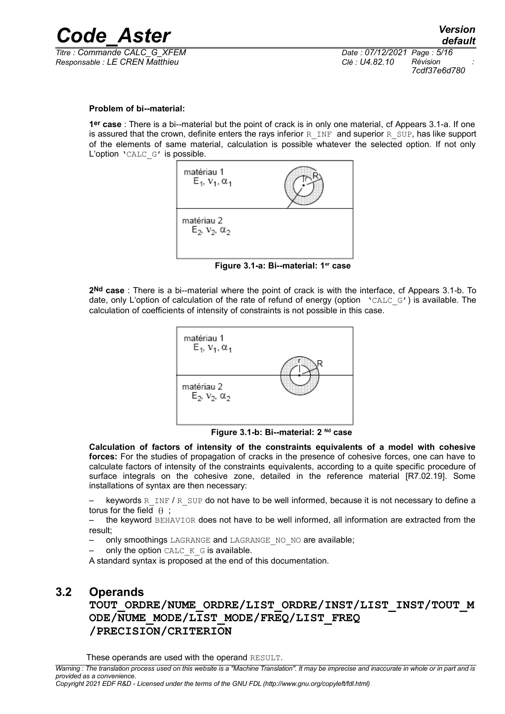

*Responsable : LE CREN Matthieu Clé : U4.82.10 Révision :*

*Titre : Commande CALC\_G\_XFEM Date : 07/12/2021 Page : 5/16 7cdf37e6d780*

#### **Problem of bi--material:**

**1er case** : There is a bi--material but the point of crack is in only one material, cf Appears 3.1-a. If one is assured that the crown, definite enters the rays inferior R\_INF and superior R\_SUP, has like support of the elements of same material, calculation is possible whatever the selected option. If not only L'option 'CALC\_G' is possible.



**Figure 3.1-a: Bi--material: 1er case**

**2Nd case** : There is a bi--material where the point of crack is with the interface, cf Appears 3.1-b. To date, only L'option of calculation of the rate of refund of energy (option value G') is available. The calculation of coefficients of intensity of constraints is not possible in this case.



**Figure 3.1-b: Bi--material: 2 Nd case**

**Calculation of factors of intensity of the constraints equivalents of a model with cohesive forces:** For the studies of propagation of cracks in the presence of cohesive forces, one can have to calculate factors of intensity of the constraints equivalents, according to a quite specific procedure of surface integrals on the cohesive zone, detailed in the reference material [R7.02.19]. Some installations of syntax are then necessary:

keywords R\_INF / R\_SUP do not have to be well informed, because it is not necessary to define a torus for the field  $\theta$ ;

 $-$  the keyword  $BEHAVIOR$  does not have to be well informed, all information are extracted from the result;

only smoothings LAGRANGE and LAGRANGE NO NO are available;

only the option CALC  $K$  G is available.

A standard syntax is proposed at the end of this documentation.

### **3.2 Operands**

**TOUT\_ORDRE/NUME\_ORDRE/LIST\_ORDRE/INST/LIST\_INST/TOUT\_M ODE/NUME\_MODE/LIST\_MODE/FREQ/LIST\_FREQ /PRECISION/CRITERION**

These operands are used with the operand RESULT.

*Warning : The translation process used on this website is a "Machine Translation". It may be imprecise and inaccurate in whole or in part and is provided as a convenience.*

*Copyright 2021 EDF R&D - Licensed under the terms of the GNU FDL (http://www.gnu.org/copyleft/fdl.html)*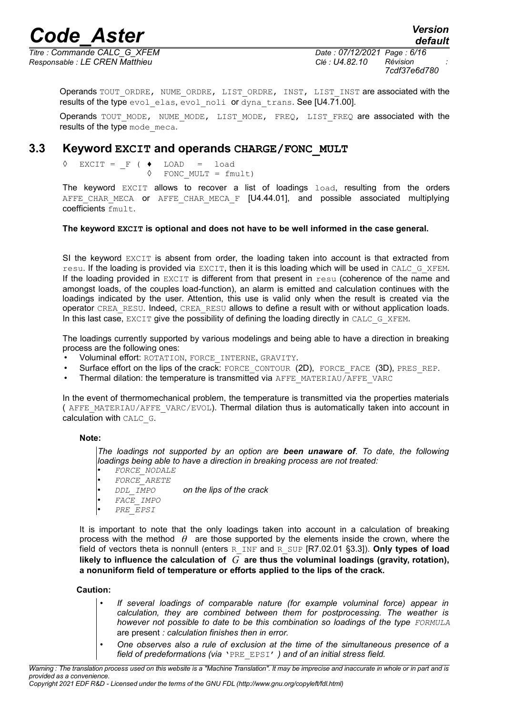*default*

*Responsable : LE CREN Matthieu Clé : U4.82.10 Révision :*

*Titre : Commande CALC\_G\_XFEM Date : 07/12/2021 Page : 6/16 7cdf37e6d780*

Operands TOUT\_ORDRE, NUME\_ORDRE, LIST\_ORDRE, INST, LIST\_INST are associated with the results of the type evol elas, evol noli or dyna trans. See [U4.71.00].

Operands TOUT MODE, NUME MODE, LIST MODE, FREQ, LIST FREQ are associated with the results of the type mode meca.

### **3.3 Keyword EXCIT and operands CHARGE/FONC\_MULT**

 $EXCIT = F ( \bullet IDAD = load$ ◊ FONC\_MULT = fmult)

The keyword EXCIT allows to recover a list of loadings load, resulting from the orders AFFE CHAR MECA or AFFE CHAR MECA F [U4.44.01], and possible associated multiplying coefficients fmult.

### **The keyword EXCIT is optional and does not have to be well informed in the case general.**

SI the keyword EXCIT is absent from order, the loading taken into account is that extracted from resu. If the loading is provided via EXCIT, then it is this loading which will be used in CALC\_G\_XFEM. If the loading provided in EXCIT is different from that present in resu (coherence of the name and amongst loads, of the couples load-function), an alarm is emitted and calculation continues with the loadings indicated by the user. Attention, this use is valid only when the result is created via the operator CREA\_RESU. Indeed, CREA\_RESU allows to define a result with or without application loads. In this last case, EXCIT give the possibility of defining the loading directly in CALC\_G\_XFEM.

The loadings currently supported by various modelings and being able to have a direction in breaking process are the following ones:

- Voluminal effort: ROTATION, FORCE\_INTERNE, GRAVITY.
- Surface effort on the lips of the crack: FORCE\_CONTOUR (2D), FORCE\_FACE (3D), PRES\_REP.
- Thermal dilation: the temperature is transmitted via AFFE\_MATERIAU/AFFE\_VARC

In the event of thermomechanical problem, the temperature is transmitted via the properties materials ( AFFE\_MATERIAU/AFFE\_VARC/EVOL). Thermal dilation thus is automatically taken into account in calculation with CALC G.

#### **Note:**

*The loadings not supported by an option are been unaware of. To date, the following loadings being able to have a direction in breaking process are not treated:*

- *FORCE\_NODALE*
- *FORCE\_ARETE*
- *DDL\_IMPO on the lips of the crack*
- *FACE\_IMPO*
- *PRE\_EPSI*

It is important to note that the only loadings taken into account in a calculation of breaking process with the method  $\theta$  are those supported by the elements inside the crown, where the field of vectors theta is nonnull (enters R\_INF and R\_SUP [R7.02.01 §3.3]). **Only types of load likely to influence the calculation of** *G* **are thus the voluminal loadings (gravity, rotation), a nonuniform field of temperature or efforts applied to the lips of the crack.**

#### **Caution:**

- *If several loadings of comparable nature (for example voluminal force) appear in calculation, they are combined between them for postprocessing. The weather is however not possible to date to be this combination so loadings of the type FORMULA* are present *: calculation finishes then in error.*
- *One observes also a rule of exclusion at the time of the simultaneous presence of a field of predeformations (via* 'PRE\_EPSI' *) and of an initial stress field.*

*Warning : The translation process used on this website is a "Machine Translation". It may be imprecise and inaccurate in whole or in part and is provided as a convenience.*

*Copyright 2021 EDF R&D - Licensed under the terms of the GNU FDL (http://www.gnu.org/copyleft/fdl.html)*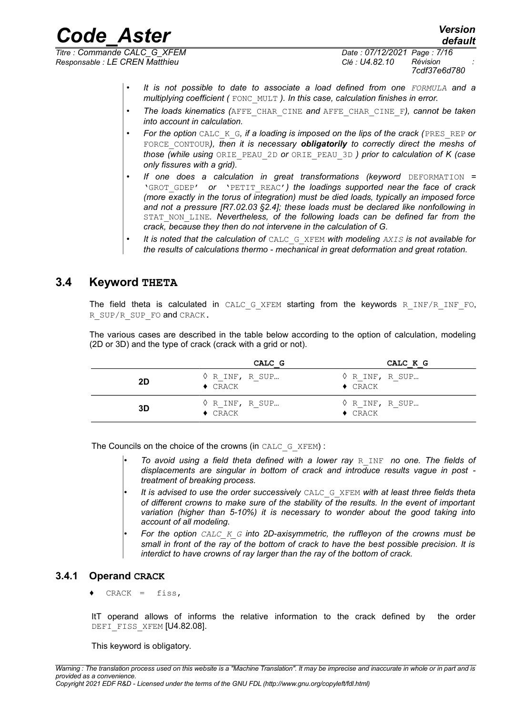*Responsable : LE CREN Matthieu Clé : U4.82.10 Révision :*

*Titre : Commande CALC\_G\_XFEM Date : 07/12/2021 Page : 7/16 7cdf37e6d780*

*default*

- *It is not possible to date to associate a load defined from one FORMULA and a multiplying coefficient (* FONC\_MULT *). In this case, calculation finishes in error.*
- *The loads kinematics (*AFFE\_CHAR\_CINE *and* AFFE\_CHAR\_CINE\_F*), cannot be taken into account in calculation.*
- *For the option* CALC\_K\_G*, if a loading is imposed on the lips of the crack (*PRES\_REP *or* FORCE\_CONTOUR*), then it is necessary obligatorily to correctly direct the meshs of those (while using* ORIE\_PEAU\_2D *or* ORIE\_PEAU\_3D *) prior to calculation of K (case only fissures with a grid).*
- **If one does a calculation in great transformations (keyword** DEFORMATION = 'GROT\_GDEP' *or* 'PETIT\_REAC'*) the loadings supported near the face of crack (more exactly in the torus of integration) must be died loads, typically an imposed force and not a pressure [R7.02.03 §2.4]; these loads must be declared like nonfollowing in* STAT\_NON\_LINE*. Nevertheless, of the following loads can be defined far from the crack, because they then do not intervene in the calculation of G.*
- *It is noted that the calculation of* CALC\_G\_XFEM *with modeling AXIS is not available for the results of calculations thermo - mechanical in great deformation and great rotation.*

### **3.4 Keyword THETA**

The field theta is calculated in CALC G XFEM starting from the keywords R INF/R INF FO, R\_SUP/R\_SUP\_FO and CRACK.

The various cases are described in the table below according to the option of calculation, modeling (2D or 3D) and the type of crack (crack with a grid or not).

|    | CALC G                                           | CALC K G                                         |
|----|--------------------------------------------------|--------------------------------------------------|
| 2D | $\Diamond$ R INF, R SUP<br>$\triangleleft$ CRACK | $\Diamond$ R INF, R SUP<br>$\blacklozenge$ CRACK |
| 3D | $\Diamond$ R INF, R SUP<br>$\triangleleft$ CRACK | $\Diamond$ R INF, R SUP<br>$\triangleleft$ CRACK |

The Councils on the choice of the crowns (in CALC\_G\_XFEM) :

- *To avoid using a field theta defined with a lower ray* R\_INF *no one. The fields of displacements are singular in bottom of crack and introduce results vague in post treatment of breaking process.*
- *It is advised to use the order successively* CALC\_G\_XFEM *with at least three fields theta of different crowns to make sure of the stability of the results. In the event of important variation (higher than 5-10%) it is necessary to wonder about the good taking into account of all modeling.*
- *For the option CALC\_K\_G into 2D-axisymmetric, the ruffleyon of the crowns must be small in front of the ray of the bottom of crack to have the best possible precision. It is interdict to have crowns of ray larger than the ray of the bottom of crack.*

### **3.4.1 Operand CRACK**

 $CRACT = 11$ 

ItT operand allows of informs the relative information to the crack defined by the order DEFI\_FISS\_XFEM [U4.82.08].

This keyword is obligatory.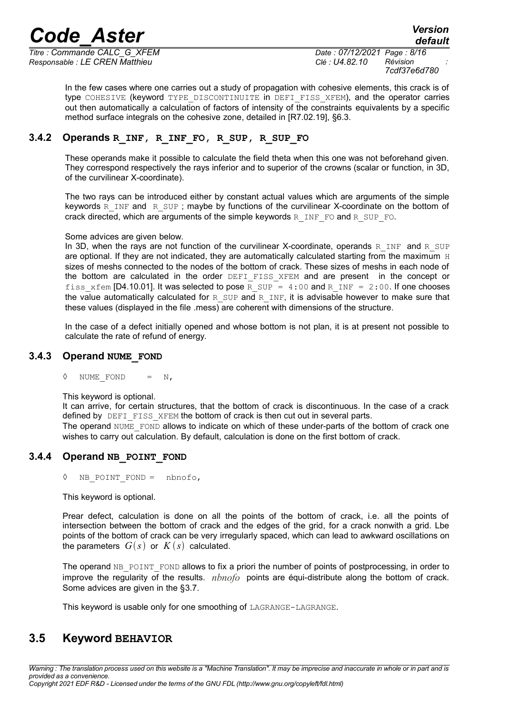*Titre : Commande CALC\_G\_XFEM Date : 07/12/2021 Page : 8/16 Responsable : LE CREN Matthieu Clé : U4.82.10 Révision :*

*7cdf37e6d780*

In the few cases where one carries out a study of propagation with cohesive elements, this crack is of type COHESIVE (keyword TYPE DISCONTINUITE in DEFI FISS XFEM), and the operator carries out then automatically a calculation of factors of intensity of the constraints equivalents by a specific method surface integrals on the cohesive zone, detailed in [R7.02.19], §6.3.

### **3.4.2 Operands R\_INF, R\_INF\_FO, R\_SUP, R\_SUP\_FO**

These operands make it possible to calculate the field theta when this one was not beforehand given. They correspond respectively the rays inferior and to superior of the crowns (scalar or function, in 3D, of the curvilinear X-coordinate).

The two rays can be introduced either by constant actual values which are arguments of the simple keywords  $R_I$  INF and R SUP; maybe by functions of the curvilinear X-coordinate on the bottom of crack directed, which are arguments of the simple keywords  $R$  INF FO and R SUP FO.

### Some advices are given below.

In 3D, when the rays are not function of the curvilinear X-coordinate, operands R INF and R SUP are optional. If they are not indicated, they are automatically calculated starting from the maximum  $H$ sizes of meshs connected to the nodes of the bottom of crack. These sizes of meshs in each node of the bottom are calculated in the order DEFI FISS XFEM and are present in the concept or fiss  $xfem [D4.10.01]$ . It was selected to pose R SUP = 4:00 and R INF = 2:00. If one chooses the value automatically calculated for R SUP and R INF, it is advisable however to make sure that these values (displayed in the file .mess) are coherent with dimensions of the structure.

In the case of a defect initially opened and whose bottom is not plan, it is at present not possible to calculate the rate of refund of energy.

### **3.4.3 Operand NUME\_FOND**

 $\Diamond$  NUME FOND = N,

This keyword is optional.

It can arrive, for certain structures, that the bottom of crack is discontinuous. In the case of a crack defined by DEFI FISS XFEM the bottom of crack is then cut out in several parts.

The operand NUME\_FOND allows to indicate on which of these under-parts of the bottom of crack one wishes to carry out calculation. By default, calculation is done on the first bottom of crack.

### **3.4.4 Operand NB\_POINT\_FOND**

◊ NB\_POINT\_FOND = nbnofo,

This keyword is optional.

Prear defect, calculation is done on all the points of the bottom of crack, i.e. all the points of intersection between the bottom of crack and the edges of the grid, for a crack nonwith a grid. Lbe points of the bottom of crack can be very irregularly spaced, which can lead to awkward oscillations on the parameters  $G(s)$  or  $K(s)$  calculated.

The operand NB\_POINT\_FOND allows to fix a priori the number of points of postprocessing, in order to improve the regularity of the results. *nbnofo* points are équi-distribute along the bottom of crack. Some advices are given in the [§3.7.](#page-10-0)

This keyword is usable only for one smoothing of LAGRANGE-LAGRANGE.

### **3.5 Keyword BEHAVIOR**

*Warning : The translation process used on this website is a "Machine Translation". It may be imprecise and inaccurate in whole or in part and is provided as a convenience. Copyright 2021 EDF R&D - Licensed under the terms of the GNU FDL (http://www.gnu.org/copyleft/fdl.html)*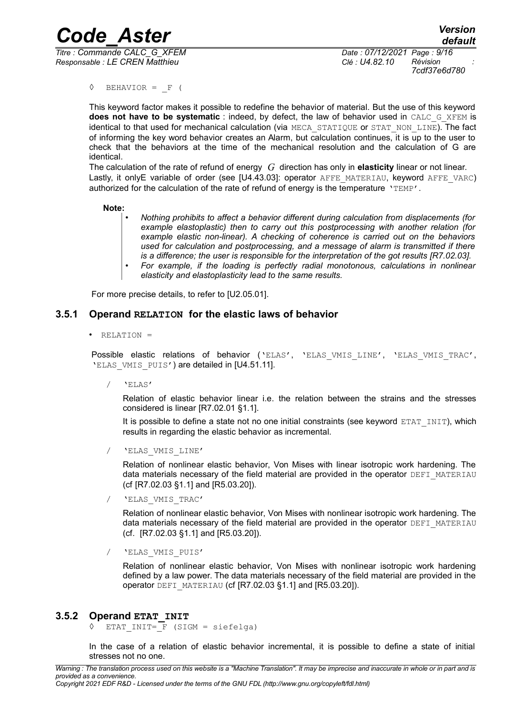*Titre : Commande CALC\_G\_XFEM Date : 07/12/2021 Page : 9/16 Responsable : LE CREN Matthieu Clé : U4.82.10 Révision :*

*7cdf37e6d780*

 $\Diamond$  BEHAVIOR = F (

This keyword factor makes it possible to redefine the behavior of material. But the use of this keyword **does not have to be systematic** : indeed, by defect, the law of behavior used in CALC\_G\_XFEM is identical to that used for mechanical calculation (via MECA\_STATIQUE or STAT\_NON\_LINE). The fact of informing the key word behavior creates an Alarm, but calculation continues, it is up to the user to check that the behaviors at the time of the mechanical resolution and the calculation of G are identical.

The calculation of the rate of refund of energy *G* direction has only in **elasticity** linear or not linear. Lastly, it onlyE variable of order (see [U4.43.03]: operator AFFE\_MATERIAU, keyword AFFE\_VARC) authorized for the calculation of the rate of refund of energy is the temperature 'TEMP'.

#### **Note:**

- *Nothing prohibits to affect a behavior different during calculation from displacements (for example elastoplastic) then to carry out this postprocessing with another relation (for example elastic non-linear). A checking of coherence is carried out on the behaviors used for calculation and postprocessing, and a message of alarm is transmitted if there is a difference; the user is responsible for the interpretation of the got results [R7.02.03].*
- *For example, if the loading is perfectly radial monotonous, calculations in nonlinear elasticity and elastoplasticity lead to the same results.*

For more precise details, to refer to [U2.05.01].

### **3.5.1 Operand RELATION for the elastic laws of behavior**

• RELATION =

Possible elastic relations of behavior ('ELAS', 'ELAS VMIS LINE', 'ELAS VMIS TRAC', 'ELAS VMIS PUIS') are detailed in [U4.51.11].

/ 'ELAS'

Relation of elastic behavior linear i.e. the relation between the strains and the stresses considered is linear [R7.02.01 §1.1].

It is possible to define a state not no one initial constraints (see keyword ETAT INIT), which results in regarding the elastic behavior as incremental.

/ 'ELAS\_VMIS\_LINE'

Relation of nonlinear elastic behavior, Von Mises with linear isotropic work hardening. The data materials necessary of the field material are provided in the operator DEFI\_MATERIAU (cf [R7.02.03 §1.1] and [R5.03.20]).

/ 'ELAS\_VMIS\_TRAC'

Relation of nonlinear elastic behavior, Von Mises with nonlinear isotropic work hardening. The data materials necessary of the field material are provided in the operator DEFI\_MATERIAU (cf. [R7.02.03 §1.1] and [R5.03.20]).

/ 'ELAS\_VMIS\_PUIS'

Relation of nonlinear elastic behavior, Von Mises with nonlinear isotropic work hardening defined by a law power. The data materials necessary of the field material are provided in the operator DEFI\_MATERIAU (cf [R7.02.03 §1.1] and [R5.03.20]).

### **3.5.2 Operand ETAT\_INIT**

 $\Diamond$  ETAT INIT=  $\Gamma$  (SIGM = siefelga)

In the case of a relation of elastic behavior incremental, it is possible to define a state of initial stresses not no one.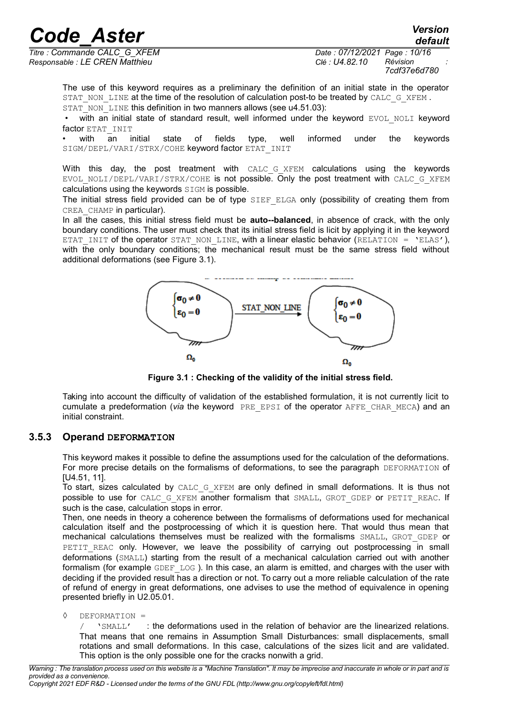*Responsable : LE CREN Matthieu Clé : U4.82.10 Révision :*

*Titre : Commande CALC\_G\_XFEM Date : 07/12/2021 Page : 10/16 7cdf37e6d780*

The use of this keyword requires as a preliminary the definition of an initial state in the operator STAT\_NON\_LINE at the time of the resolution of calculation post-to be treated by CALC\_G\_XFEM . STAT\_NON\_LINE this definition in two manners allows (see u4.51.03):

 $\cdot$  with an initial state of standard result, well informed under the keyword EVOL NOLI keyword factor ETAT\_INIT

• with an initial state of fields type, well informed under the keywords SIGM/DEPL/VARI/STRX/COHE keyword factor ETAT\_INIT

With this day, the post treatment with CALC G XFEM calculations using the keywords EVOL NOLI/DEPL/VARI/STRX/COHE is not possible. Only the post treatment with CALC G XFEM calculations using the keywords SIGM is possible.

The initial stress field provided can be of type SIEF ELGA only (possibility of creating them from CREA\_CHAMP in particular).

In all the cases, this initial stress field must be **auto--balanced**, in absence of crack, with the only boundary conditions. The user must check that its initial stress field is licit by applying it in the keyword ETAT INIT of the operator STAT\_NON\_LINE, with a linear elastic behavior (RELATION = 'ELAS'), with the only boundary conditions; the mechanical result must be the same stress field without additional deformations (see [Figure 3.1\)](#page-9-0).



<span id="page-9-0"></span>**Figure 3.1 : Checking of the validity of the initial stress field.**

Taking into account the difficulty of validation of the established formulation, it is not currently licit to cumulate a predeformation (*via* the keyword PRE\_EPSI of the operator AFFE\_CHAR\_MECA) and an initial constraint.

### **3.5.3 Operand DEFORMATION**

This keyword makes it possible to define the assumptions used for the calculation of the deformations. For more precise details on the formalisms of deformations, to see the paragraph DEFORMATION of [U4.51, 11].

To start, sizes calculated by CALC G XFEM are only defined in small deformations. It is thus not possible to use for CALC\_G\_XFEM another formalism that SMALL, GROT\_GDEP or PETIT\_REAC. If such is the case, calculation stops in error.

Then, one needs in theory a coherence between the formalisms of deformations used for mechanical calculation itself and the postprocessing of which it is question here. That would thus mean that mechanical calculations themselves must be realized with the formalisms SMALL, GROT\_GDEP or PETIT REAC only. However, we leave the possibility of carrying out postprocessing in small deformations (SMALL) starting from the result of a mechanical calculation carried out with another formalism (for example GDEF LOG). In this case, an alarm is emitted, and charges with the user with deciding if the provided result has a direction or not. To carry out a more reliable calculation of the rate of refund of energy in great deformations, one advises to use the method of equivalence in opening presented briefly in U2.05.01.

◊ DEFORMATION =

/ 'SMALL' : the deformations used in the relation of behavior are the linearized relations. That means that one remains in Assumption Small Disturbances: small displacements, small rotations and small deformations. In this case, calculations of the sizes licit and are validated. This option is the only possible one for the cracks nonwith a grid.

*Warning : The translation process used on this website is a "Machine Translation". It may be imprecise and inaccurate in whole or in part and is provided as a convenience.*

*Copyright 2021 EDF R&D - Licensed under the terms of the GNU FDL (http://www.gnu.org/copyleft/fdl.html)*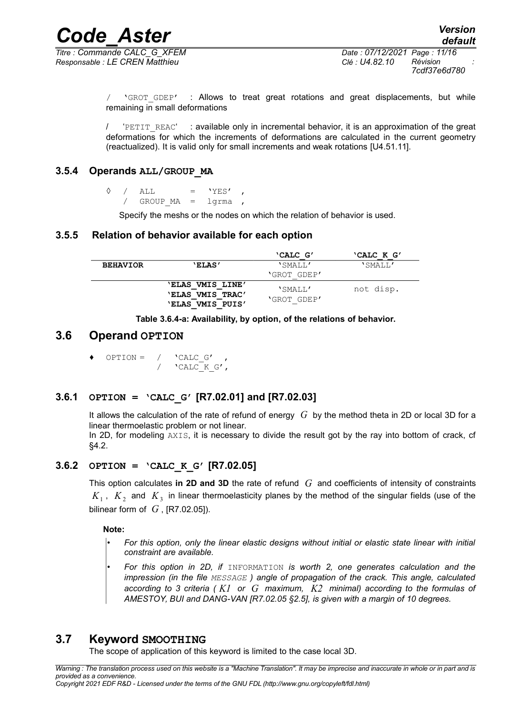*Titre : Commande CALC\_G\_XFEM Date : 07/12/2021 Page : 11/16 Responsable : LE CREN Matthieu Clé : U4.82.10 Révision :*

*7cdf37e6d780*

'GROT GDEP' : Allows to treat great rotations and great displacements, but while remaining in small deformations

'PETIT\_REAC' : available only in incremental behavior, it is an approximation of the great deformations for which the increments of deformations are calculated in the current geometry (reactualized). It is valid only for small increments and weak rotations [U4.51.11].

### **3.5.4 Operands ALL/GROUP\_MA**

 $\Diamond$  / ALL = 'YES' / GROUP  $MA = 1$ grma ,

Specify the meshs or the nodes on which the relation of behavior is used.

### **3.5.5 Relation of behavior available for each option**

|                 |                                      | 'CALC G'    | 'CALC K G' |
|-----------------|--------------------------------------|-------------|------------|
| <b>BEHAVIOR</b> | <b>'ELAS'</b>                        | 'SMALL'     | 'SMALL'    |
|                 |                                      | 'GROT GDEP' |            |
|                 | 'ELAS VMIS LINE'<br>'ELAS VMIS TRAC' | 'SMALL'     | not disp.  |
|                 | <b>'ELAS VMIS PUIS'</b>              | 'GROT GDEP' |            |

**Table 3.6.4-a: Availability, by option, of the relations of behavior.**

### **3.6 Operand OPTION**

 $OPTION = / 'CALC G'$ /  $'$   $'$ CALC K G',

### **3.6.1 OPTION = 'CALC\_G' [R7.02.01] and [R7.02.03]**

It allows the calculation of the rate of refund of energy *G* by the method theta in 2D or local 3D for a linear thermoelastic problem or not linear.

In 2D, for modeling AXIS, it is necessary to divide the result got by the ray into bottom of crack, cf [§4.2.](#page-14-0)

### **3.6.2 OPTION = 'CALC\_K\_G' [R7.02.05]**

This option calculates **in 2D and 3D** the rate of refund *G* and coefficients of intensity of constraints  $K_{1}$  ,  $K_{2}$  and  $K_{3}$  in linear thermoelasticity planes by the method of the singular fields (use of the bilinear form of  $G$ ,  $[R7.02.05]$ ).

**Note:**

- *For this option, only the linear elastic designs without initial or elastic state linear with initial constraint are available.*
- *For this option in 2D, if* INFORMATION *is worth 2, one generates calculation and the impression (in the file MESSAGE ) angle of propagation of the crack. This angle, calculated according to 3 criteria ( K1 or G maximum, K2 minimal) according to the formulas of AMESTOY, BUI and DANG-VAN [R7.02.05 §2.5], is given with a margin of 10 degrees.*

### **3.7 Keyword SMOOTHING**

<span id="page-10-0"></span>The scope of application of this keyword is limited to the case local 3D.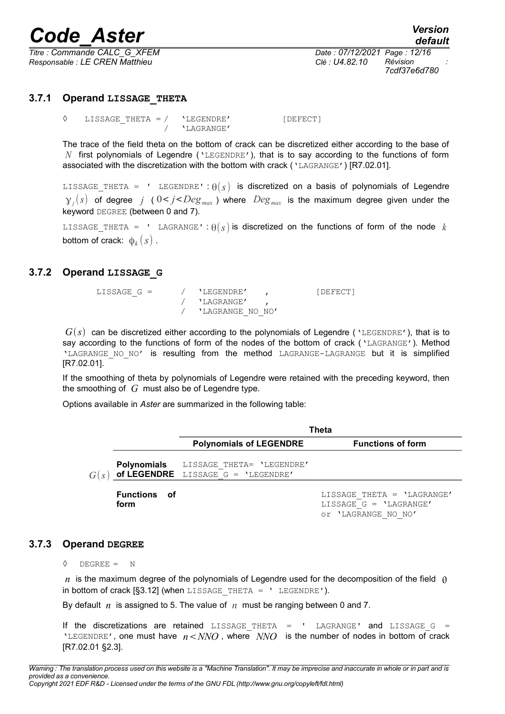*Titre : Commande CALC\_G\_XFEM Date : 07/12/2021 Page : 12/16 Responsable : LE CREN Matthieu Clé : U4.82.10 Révision :*

*7cdf37e6d780*

### **3.7.1 Operand LISSAGE\_THETA**

◊ LISSAGE\_THETA = / 'LEGENDRE' [DEFECT] / 'LAGRANGE'

The trace of the field theta on the bottom of crack can be discretized either according to the base of *N* first polynomials of Legendre ('LEGENDRE'), that is to say according to the functions of form associated with the discretization with the bottom with crack ('LAGRANGE') [R7.02.01].

LISSAGE THETA = ' LEGENDRE' :  $\theta(s)$  is discretized on a basis of polynomials of Legendre  $\gamma_j(s)$  of degree *j* (  $0 < j < Deg_{max}$  ) where  $Deg_{max}$  is the maximum degree given under the keyword DEGREE (between 0 and 7).

LISSAGE THETA = ' LAGRANGE' :  $\theta(s)$  is discretized on the functions of form of the node *k* bottom of crack:  $\,\varphi_k^{}(s)$  .

### **3.7.2 Operand LISSAGE\_G**

| LISSAGE G = | / 'LEGENDRE'       | [DEFECT] |
|-------------|--------------------|----------|
|             | / 'LAGRANGE'       |          |
|             | / 'LAGRANGE NO NO' |          |

 $G(s)$  can be discretized either according to the polynomials of Legendre ('LEGENDRE'), that is to say according to the functions of form of the nodes of the bottom of crack ('LAGRANGE'). Method 'LAGRANGE NO NO' is resulting from the method LAGRANGE-LAGRANGE but it is simplified [R7.02.01].

If the smoothing of theta by polynomials of Legendre were retained with the preceding keyword, then the smoothing of *G* must also be of Legendre type.

Options available in *Aster* are summarized in the following table:

|      |                        |                                                                             | Theta                         |
|------|------------------------|-----------------------------------------------------------------------------|-------------------------------|
|      |                        | <b>Polynomials of LEGENDRE</b>                                              | <b>Functions of form</b>      |
| G(s) |                        | Polynomials LISSAGE THETA= 'LEGENDRE'<br>of LEGENDRE LISSAGE G = 'LEGENDRE' |                               |
|      | <b>Functions</b><br>01 |                                                                             | LISSAGE THETA = $'$ LAGRANGE' |

**form**

LISSAGE\_THETA = 'LAGRANGE' LISSAGE\_G = 'LAGRANGE' or 'LAGRANGE\_NO\_NO'

### **3.7.3 Operand DEGREE**

 $\Diamond$  DEGREE = N

*n* is the maximum degree of the polynomials of Legendre used for the decomposition of the field  $\theta$ in bottom of crack  $[§3.12]$  (when LISSAGE THETA = ' LEGENDRE').

By default *n* is assigned to 5. The value of *n* must be ranging between 0 and 7.

If the discretizations are retained LISSAGE THETA =  $'$  LAGRANGE' and LISSAGE G = 'LEGENDRE', one must have  $n < NNO$ , where  $NNO$  is the number of nodes in bottom of crack [R7.02.01 §2.3].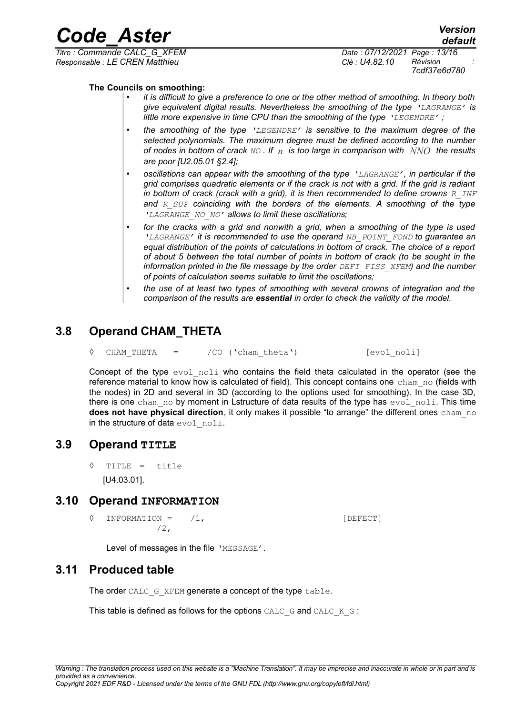*Code\_Aster Version default*

*Titre : Commande CALC\_G\_XFEM Date : 07/12/2021 Page : 13/16 Responsable : LE CREN Matthieu Clé : U4.82.10 Révision :*

*7cdf37e6d780*

### **The Councils on smoothing:**

- *it is difficult to give a preference to one or the other method of smoothing. In theory both give equivalent digital results. Nevertheless the smoothing of the type 'LAGRANGE' is little more expensive in time CPU than the smoothing of the type 'LEGENDRE' ;*
- *the smoothing of the type 'LEGENDRE' is sensitive to the maximum degree of the selected polynomials. The maximum degree must be defined according to the number of nodes in bottom of crack NO . If n is too large in comparison with NNO the results are poor [U2.05.01 §2.4];*
- *oscillations can appear with the smoothing of the type 'LAGRANGE', in particular if the grid comprises quadratic elements or if the crack is not with a grid. If the grid is radiant in bottom of crack (crack with a grid), it is then recommended to define crowns R INF and R\_SUP coinciding with the borders of the elements. A smoothing of the type 'LAGRANGE\_NO\_NO' allows to limit these oscillations;*
- *for the cracks with a grid and nonwith a grid, when a smoothing of the type is used 'LAGRANGE' it is recommended to use the operand NB\_POINT\_FOND to guarantee an equal distribution of the points of calculations in bottom of crack. The choice of a report of about 5 between the total number of points in bottom of crack (to be sought in the information printed in the file message by the order DEFI\_FISS\_XFEM) and the number of points of calculation seems suitable to limit the oscillations;*
- *the use of at least two types of smoothing with several crowns of integration and the comparison of the results are essential in order to check the validity of the model.*

### **3.8 Operand CHAM\_THETA**

◊ CHAM\_THETA = /CO ('cham\_theta') [evol\_noli]

Concept of the type  $evol$  noli who contains the field theta calculated in the operator (see the reference material to know how is calculated of field). This concept contains one cham no (fields with the nodes) in 2D and several in 3D (according to the options used for smoothing). In the case 3D, there is one cham no by moment in Lstructure of data results of the type has  $evol$  noli. This time **does not have physical direction**, it only makes it possible "to arrange" the different ones cham no in the structure of data evol noli.

### **3.9 Operand TITLE**

◊ TITLE = title [U4.03.01].

### **3.10 Operand INFORMATION**

 $\Diamond$  INFORMATION =  $/1$ ,  $[DEFECT]$ /2,

Level of messages in the file 'MESSAGE'.

### **3.11 Produced table**

The order CALC\_G\_XFEM generate a concept of the type table.

This table is defined as follows for the options CALC  $G$  and CALC  $K$   $G$ :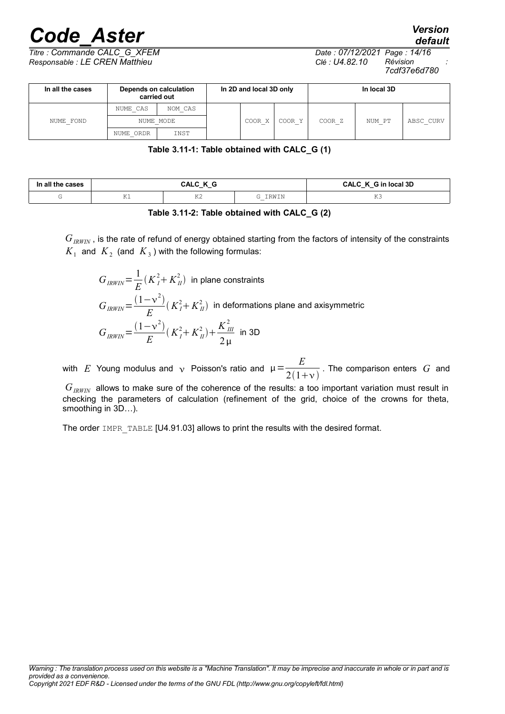*default*

*Titre : Commande CALC\_G\_XFEM Date : 07/12/2021 Page : 14/16 Responsable : LE CREN Matthieu Clé : U4.82.10 Révision :*

*7cdf37e6d780*

| In all the cases | Depends on calculation<br>carried out | In 2D and local 3D only |  |        | In local 3D |                   |        |           |
|------------------|---------------------------------------|-------------------------|--|--------|-------------|-------------------|--------|-----------|
|                  | NUME CAS                              | NOM CAS                 |  |        |             |                   |        |           |
| NUME FOND        |                                       | NUME MODE               |  | COOR X | COOR Y      | COOR <sub>Z</sub> | NUM PT | ABSC CURV |
|                  | NUME ORDR                             | INST                    |  |        |             |                   |        |           |

**Table 3.11-1: Table obtained with CALC\_G (1)**

| cases<br>In all |                        | ٠٨I<br>-<br>- - | ı local 3D<br>ΩΛ<br>_ _ |               |
|-----------------|------------------------|-----------------|-------------------------|---------------|
|                 | $\tau \tau$<br>$+$ $-$ | T/T<br>ΩZ.      | 'ת דגז כד               | ---<br>$\sim$ |

**Table 3.11-2: Table obtained with CALC\_G (2)**

 $G_{IRWIN}$ , is the rate of refund of energy obtained starting from the factors of intensity of the constraints  $K_{1\text{ }}$  and  $\text{ }K_{2\text{ }}$  (and  $\text{ }K_{3}$  ) with the following formulas:

 $G_{IRWIN}=\frac{1}{E}$  $\frac{1}{E}$  $(K_I^2 + K_{II}^2)$  in plane constraints  $G_{IRWIN} = \frac{(1 - v^2)}{E}$  $\frac{1}{E}(K_I^2 + K_{II}^2)$  in deformations plane and axisymmetric  $G_{IRWIN} = \frac{(1 - v^2)}{E}$  $\frac{(x^2 - y^2)}{E} (K_I^2 + K_{II}^2) + \frac{K_{III}^2}{2 \mu}$  $2\,\mu$ in 3D

with  $E$  Young modulus and  $\sqrt{ }$  Poisson's ratio and  $\mu =\frac{E}{2(1+\mu )^{2}}$  $2(1+\nu)$ . The comparison enters *G* and

*GIRWIN* allows to make sure of the coherence of the results: a too important variation must result in checking the parameters of calculation (refinement of the grid, choice of the crowns for theta, smoothing in 3D…).

The order IMPR TABLE [U4.91.03] allows to print the results with the desired format.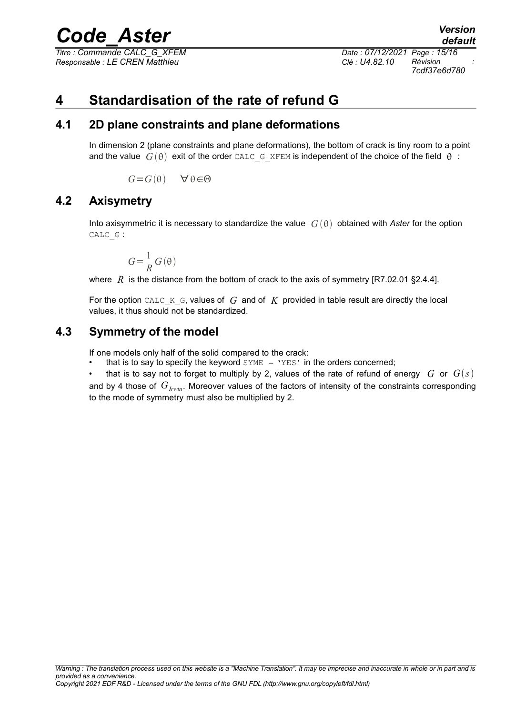*Titre : Commande CALC\_G\_XFEM Date : 07/12/2021 Page : 15/16 Responsable : LE CREN Matthieu Clé : U4.82.10 Révision :*

*7cdf37e6d780*

# **4 Standardisation of the rate of refund G**

### **4.1 2D plane constraints and plane deformations**

In dimension 2 (plane constraints and plane deformations), the bottom of crack is tiny room to a point and the value  $G(\theta)$  exit of the order CALC G XFEM is independent of the choice of the field  $\theta$ :

 $G = G(\theta)$   $\forall \theta \in \Theta$ 

### **4.2 Axisymetry**

<span id="page-14-0"></span>Into axisymmetric it is necessary to standardize the value  $G(\theta)$  obtained with *Aster* for the option CALC\_G :

$$
G\!=\!\frac{1}{R}\,G\left(\theta\right)
$$

where  $R$  is the distance from the bottom of crack to the axis of symmetry  $[RT.02.01 \S2.4.4]$ .

For the option CALC  $K$  G, values of  $G$  and of  $K$  provided in table result are directly the local values, it thus should not be standardized.

## **4.3 Symmetry of the model**

If one models only half of the solid compared to the crack:

- that is to say to specify the keyword  $\text{SYME} = \text{YES'}$  in the orders concerned;
- that is to say not to forget to multiply by 2, values of the rate of refund of energy  $G$  or  $G(s)$ and by 4 those of  $G_{Irwin}$ . Moreover values of the factors of intensity of the constraints corresponding to the mode of symmetry must also be multiplied by 2.